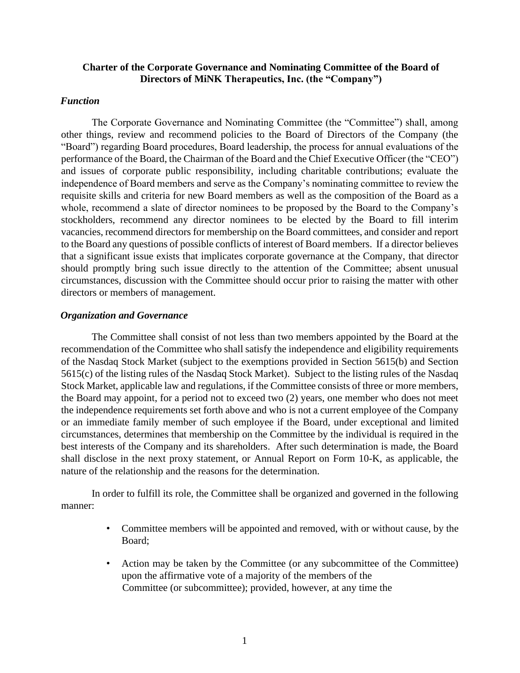### **Charter of the Corporate Governance and Nominating Committee of the Board of Directors of MiNK Therapeutics, Inc. (the "Company")**

#### *Function*

The Corporate Governance and Nominating Committee (the "Committee") shall, among other things, review and recommend policies to the Board of Directors of the Company (the "Board") regarding Board procedures, Board leadership, the process for annual evaluations of the performance of the Board, the Chairman of the Board and the Chief Executive Officer (the "CEO") and issues of corporate public responsibility, including charitable contributions; evaluate the independence of Board members and serve as the Company's nominating committee to review the requisite skills and criteria for new Board members as well as the composition of the Board as a whole, recommend a slate of director nominees to be proposed by the Board to the Company's stockholders, recommend any director nominees to be elected by the Board to fill interim vacancies, recommend directors for membership on the Board committees, and consider and report to the Board any questions of possible conflicts of interest of Board members. If a director believes that a significant issue exists that implicates corporate governance at the Company, that director should promptly bring such issue directly to the attention of the Committee; absent unusual circumstances, discussion with the Committee should occur prior to raising the matter with other directors or members of management.

### *Organization and Governance*

The Committee shall consist of not less than two members appointed by the Board at the recommendation of the Committee who shall satisfy the independence and eligibility requirements of the Nasdaq Stock Market (subject to the exemptions provided in Section 5615(b) and Section 5615(c) of the listing rules of the Nasdaq Stock Market). Subject to the listing rules of the Nasdaq Stock Market, applicable law and regulations, if the Committee consists of three or more members, the Board may appoint, for a period not to exceed two (2) years, one member who does not meet the independence requirements set forth above and who is not a current employee of the Company or an immediate family member of such employee if the Board, under exceptional and limited circumstances, determines that membership on the Committee by the individual is required in the best interests of the Company and its shareholders. After such determination is made, the Board shall disclose in the next proxy statement, or Annual Report on Form 10-K, as applicable, the nature of the relationship and the reasons for the determination.

In order to fulfill its role, the Committee shall be organized and governed in the following manner:

- Committee members will be appointed and removed, with or without cause, by the Board;
- Action may be taken by the Committee (or any subcommittee of the Committee) upon the affirmative vote of a majority of the members of the Committee (or subcommittee); provided, however, at any time the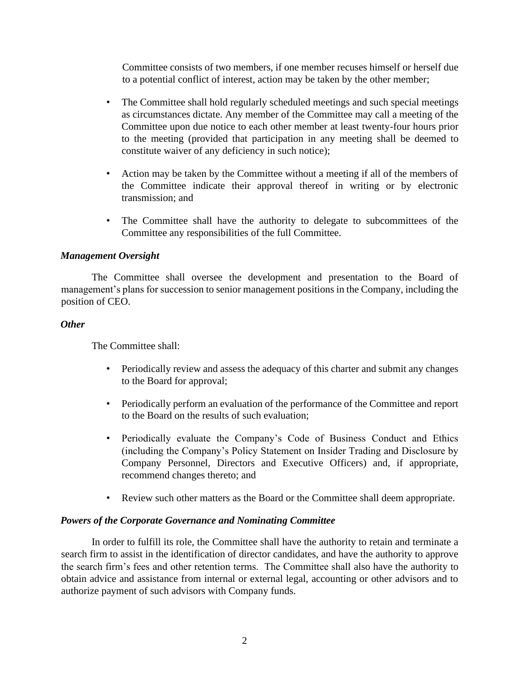Committee consists of two members, if one member recuses himself or herself due to a potential conflict of interest, action may be taken by the other member;

- The Committee shall hold regularly scheduled meetings and such special meetings as circumstances dictate. Any member of the Committee may call a meeting of the Committee upon due notice to each other member at least twenty-four hours prior to the meeting (provided that participation in any meeting shall be deemed to constitute waiver of any deficiency in such notice);
- Action may be taken by the Committee without a meeting if all of the members of the Committee indicate their approval thereof in writing or by electronic transmission; and
- The Committee shall have the authority to delegate to subcommittees of the Committee any responsibilities of the full Committee.

# *Management Oversight*

The Committee shall oversee the development and presentation to the Board of management's plans for succession to senior management positions in the Company, including the position of CEO.

### *Other*

The Committee shall:

- Periodically review and assess the adequacy of this charter and submit any changes to the Board for approval;
- Periodically perform an evaluation of the performance of the Committee and report to the Board on the results of such evaluation;
- Periodically evaluate the Company's Code of Business Conduct and Ethics (including the Company's Policy Statement on Insider Trading and Disclosure by Company Personnel, Directors and Executive Officers) and, if appropriate, recommend changes thereto; and
- Review such other matters as the Board or the Committee shall deem appropriate.

# *Powers of the Corporate Governance and Nominating Committee*

In order to fulfill its role, the Committee shall have the authority to retain and terminate a search firm to assist in the identification of director candidates, and have the authority to approve the search firm's fees and other retention terms. The Committee shall also have the authority to obtain advice and assistance from internal or external legal, accounting or other advisors and to authorize payment of such advisors with Company funds.